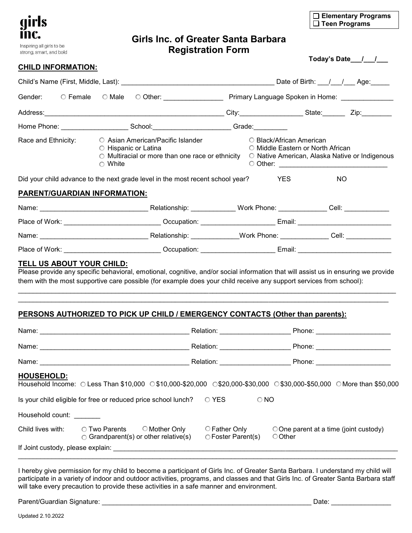

strong, smart, and bold

# **Girls Inc. of Greater Santa Barbara Registration Form**

| □ Elementary Programs |
|-----------------------|
| $\Box$ Teen Programs  |

**Today's Date\_\_\_/\_\_\_/\_\_\_**

### **CHILD INFORMATION:**

|                                                                                                |                                  |                                                                                                                                                                              | Address: Zip: Zip: Zip: 2101                                                                                                                                                                                                                              |            |     |
|------------------------------------------------------------------------------------------------|----------------------------------|------------------------------------------------------------------------------------------------------------------------------------------------------------------------------|-----------------------------------------------------------------------------------------------------------------------------------------------------------------------------------------------------------------------------------------------------------|------------|-----|
|                                                                                                |                                  |                                                                                                                                                                              | Home Phone: __________________________School:___________________________Grade:____________                                                                                                                                                                |            |     |
| Race and Ethnicity: C Asian American/Pacific Islander<br>○ Hispanic or Latina<br>$\circ$ White |                                  | ◯ Black/African American<br>○ Middle Eastern or North African<br>$\circ$ Multiracial or more than one race or ethnicity $\circ$ Native American, Alaska Native or Indigenous |                                                                                                                                                                                                                                                           |            |     |
|                                                                                                |                                  |                                                                                                                                                                              | Did your child advance to the next grade level in the most recent school year?                                                                                                                                                                            | <b>YES</b> | NO. |
|                                                                                                | PARENT/GUARDIAN INFORMATION:     |                                                                                                                                                                              |                                                                                                                                                                                                                                                           |            |     |
|                                                                                                |                                  |                                                                                                                                                                              |                                                                                                                                                                                                                                                           |            |     |
|                                                                                                |                                  |                                                                                                                                                                              | Place of Work: _____________________________Occupation: ________________________Email: _______________________                                                                                                                                            |            |     |
|                                                                                                |                                  |                                                                                                                                                                              |                                                                                                                                                                                                                                                           |            |     |
|                                                                                                |                                  |                                                                                                                                                                              | Place of Work: ____________________________Occupation: ________________________Email: ________________________                                                                                                                                            |            |     |
|                                                                                                | <b>TELL US ABOUT YOUR CHILD:</b> |                                                                                                                                                                              | Please provide any specific behavioral, emotional, cognitive, and/or social information that will assist us in ensuring we provide<br>them with the most supportive care possible (for example does your child receive any support services from school): |            |     |

## **PERSONS AUTHORIZED TO PICK UP CHILD / EMERGENCY CONTACTS (Other than parents):**

|                                                                                          | Name: 2008 2009 2010 2021 2022 2023 2024 2022 2022 2023 2024 2022 2023 2024 2022 2023 2024 2022 2023 2024 2022 2023 2024 2022 2023 2024 2025 2026 2027 2028 2021 2022 2023 2024 2025 2027 2028 2027 2028 2027 2028 2027 2028 2 | Relation: Network and the set of the set of the set of the set of the set of the set of the set of the set of the set of the set of the set of the set of the set of the set of the set of the set of the set of the set of th |                                                                                                                         |  |  |
|------------------------------------------------------------------------------------------|--------------------------------------------------------------------------------------------------------------------------------------------------------------------------------------------------------------------------------|--------------------------------------------------------------------------------------------------------------------------------------------------------------------------------------------------------------------------------|-------------------------------------------------------------------------------------------------------------------------|--|--|
|                                                                                          |                                                                                                                                                                                                                                | Relation: Network of the Relation:                                                                                                                                                                                             |                                                                                                                         |  |  |
|                                                                                          |                                                                                                                                                                                                                                | Relation: <u>_______________</u>                                                                                                                                                                                               | Phone: ________________________                                                                                         |  |  |
| HOUSEHOLD:                                                                               |                                                                                                                                                                                                                                |                                                                                                                                                                                                                                | Household Income: ○ Less Than \$10,000 ○ \$10,000-\$20,000 ○ \$20,000-\$30,000 ○ \$30,000-\$50,000 ○ More than \$50,000 |  |  |
| Is your child eligible for free or reduced price school lunch?<br>○ YES<br>$\bigcirc$ NO |                                                                                                                                                                                                                                |                                                                                                                                                                                                                                |                                                                                                                         |  |  |
| Household count:                                                                         |                                                                                                                                                                                                                                |                                                                                                                                                                                                                                |                                                                                                                         |  |  |
| Child lives with:                                                                        | ◯ Two Parents<br>◯ Mother Only<br>$\bigcirc$ Grandparent(s) or other relative(s)                                                                                                                                               | $\circ$ Father Only<br>○ Foster Parent(s)                                                                                                                                                                                      | $\bigcirc$ One parent at a time (joint custody)<br>○ Other                                                              |  |  |
|                                                                                          | If Joint custody, please explain: Management of the contract of the contract of the contract of the contract of the contract of the contract of the contract of the contract of the contract of the contract of the contract o |                                                                                                                                                                                                                                |                                                                                                                         |  |  |

\_\_\_\_\_\_\_\_\_\_\_\_\_\_\_\_\_\_\_\_\_\_\_\_\_\_\_\_\_\_\_\_\_\_\_\_\_\_\_\_\_\_\_\_\_\_\_\_\_\_\_\_\_\_\_\_\_\_\_\_\_\_\_\_\_\_\_\_\_\_\_\_\_\_\_\_\_\_\_\_\_\_\_\_\_\_\_\_\_\_\_\_\_\_\_\_\_\_\_\_\_ \_\_\_\_\_\_\_\_\_\_\_\_\_\_\_\_\_\_\_\_\_\_\_\_\_\_\_\_\_\_\_\_\_\_\_\_\_\_\_\_\_\_\_\_\_\_\_\_\_\_\_\_\_\_\_\_\_\_\_\_\_\_\_\_\_\_\_\_\_\_\_\_\_\_\_\_\_\_\_\_\_\_\_\_\_\_\_\_\_\_\_\_\_\_\_\_\_\_\_

I hereby give permission for my child to become a participant of Girls Inc. of Greater Santa Barbara. I understand my child will participate in a variety of indoor and outdoor activities, programs, and classes and that Girls Inc. of Greater Santa Barbara staff will take every precaution to provide these activities in a safe manner and environment.

Parent/Guardian Signature: \_\_\_\_\_\_\_\_\_\_\_\_\_\_\_\_\_\_\_\_\_\_\_\_\_\_\_\_\_\_\_\_\_\_\_\_\_\_\_\_\_\_\_\_\_\_\_\_\_\_\_\_\_\_\_\_ Date: \_\_\_\_\_\_\_\_\_\_\_\_\_\_\_\_

Updated 2.10.2022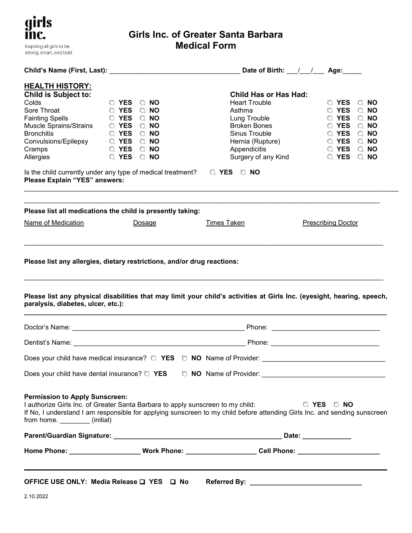| girls<br>INC.             |
|---------------------------|
| Inspiring all girls to be |
| strong, smart, and bold   |

# **Girls Inc. of Greater Santa Barbara Medical Form**

| <b>HEALTH HISTORY:</b><br><b>Child is Subject to:</b><br>Colds<br>Sore Throat<br><b>Fainting Spells</b><br><b>Bronchitis</b><br>Convulsions/Epilepsy<br>Cramps<br>Allergies<br>Please Explain "YES" answers: | O YES ONO<br>O YES ONO<br><b>EXAMPLE OF YES ON NO</b><br>O YES ONO<br>O YES ONO<br>O YES ONO<br>O YES O NO<br>Is the child currently under any type of medical treatment? $\bigcirc$ YES $\bigcirc$ NO | <b>Child Has or Has Had:</b><br><b>Heart Trouble</b><br>Asthma<br>Lung Trouble<br><b>Broken Bones</b><br>Sinus Trouble<br>Hernia (Rupture)<br>Appendicitis<br>Surgery of any Kind                            | $\circ$ YES $\circ$ NO<br>$\circ$ YES $\circ$ NO<br>O YES O NO<br>O YES O NO<br>$\circ$ YES $\circ$ NO<br>$\circ$ YES $\circ$ NO<br>$\circ$ YES $\circ$ NO<br>O YES O NO |  |
|--------------------------------------------------------------------------------------------------------------------------------------------------------------------------------------------------------------|--------------------------------------------------------------------------------------------------------------------------------------------------------------------------------------------------------|--------------------------------------------------------------------------------------------------------------------------------------------------------------------------------------------------------------|--------------------------------------------------------------------------------------------------------------------------------------------------------------------------|--|
|                                                                                                                                                                                                              | Please list all medications the child is presently taking:                                                                                                                                             |                                                                                                                                                                                                              |                                                                                                                                                                          |  |
| Name of Medication                                                                                                                                                                                           | Dosage                                                                                                                                                                                                 | <b>Times Taken</b>                                                                                                                                                                                           | <b>Prescribing Doctor</b>                                                                                                                                                |  |
| paralysis, diabetes, ulcer, etc.):                                                                                                                                                                           |                                                                                                                                                                                                        | Please list any physical disabilities that may limit your child's activities at Girls Inc. (eyesight, hearing, speech,                                                                                       |                                                                                                                                                                          |  |
|                                                                                                                                                                                                              |                                                                                                                                                                                                        |                                                                                                                                                                                                              |                                                                                                                                                                          |  |
|                                                                                                                                                                                                              |                                                                                                                                                                                                        |                                                                                                                                                                                                              |                                                                                                                                                                          |  |
|                                                                                                                                                                                                              |                                                                                                                                                                                                        |                                                                                                                                                                                                              |                                                                                                                                                                          |  |
| <b>Permission to Apply Sunscreen:</b><br>from home. _________(initial)                                                                                                                                       |                                                                                                                                                                                                        | I authorize Girls Inc. of Greater Santa Barbara to apply sunscreen to my child:<br>If No, I understand I am responsible for applying sunscreen to my child before attending Girls Inc. and sending sunscreen | O YES O NO                                                                                                                                                               |  |
|                                                                                                                                                                                                              |                                                                                                                                                                                                        |                                                                                                                                                                                                              |                                                                                                                                                                          |  |
|                                                                                                                                                                                                              |                                                                                                                                                                                                        | Home Phone: ______________________Work Phone: ____________________Cell Phone: ______________________                                                                                                         |                                                                                                                                                                          |  |
| OFFICE USE ONLY: Media Release □ YES □ No                                                                                                                                                                    |                                                                                                                                                                                                        |                                                                                                                                                                                                              |                                                                                                                                                                          |  |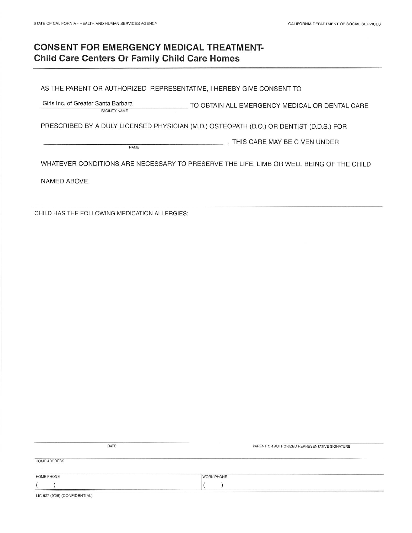# **CONSENT FOR EMERGENCY MEDICAL TREATMENT-Child Care Centers Or Family Child Care Homes**

AS THE PARENT OR AUTHORIZED REPRESENTATIVE, I HEREBY GIVE CONSENT TO

Girls Inc. of Greater Santa Barbara TO OBTAIN ALL EMERGENCY MEDICAL OR DENTAL CARE FACILITY NAME

PRESCRIBED BY A DULY LICENSED PHYSICIAN (M.D.) OSTEOPATH (D.O.) OR DENTIST (D.D.S.) FOR

. THIS CARE MAY BE GIVEN UNDER NAME

WHATEVER CONDITIONS ARE NECESSARY TO PRESERVE THE LIFE, LIMB OR WELL BEING OF THE CHILD

NAMED ABOVE.

CHILD HAS THE FOLLOWING MEDICATION ALLERGIES:

|              | DATE | PARENT OR AUTHORIZED REPRESENTATIVE SIGNATURE |
|--------------|------|-----------------------------------------------|
| HOME ADDRESS |      |                                               |
|              |      |                                               |
| HOME PHONE   |      | <b>WORK PHONE</b>                             |

LIC 627 (9/08) (CONFIDENTIAL)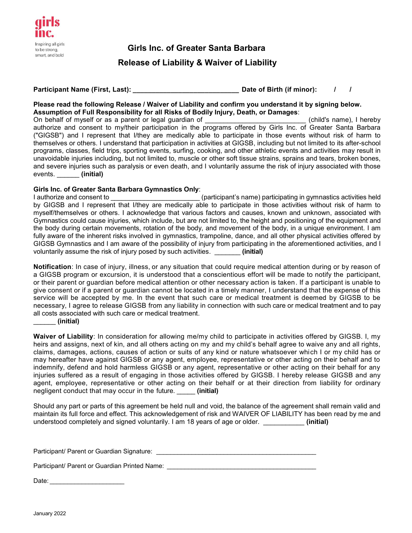

**Girls Inc. of Greater Santa Barbara Release of Liability & Waiver of Liability**

**Participant Name (First, Last): \_\_\_\_\_\_\_\_\_\_\_\_\_\_\_\_\_\_\_\_\_\_\_\_\_\_\_\_ Date of Birth (if minor): / /** 

### **Please read the following Release / Waiver of Liability and confirm you understand it by signing below. Assumption of Full Responsibility for all Risks of Bodily Injury, Death, or Damages**:

On behalf of myself or as a parent or legal guardian of  $\Box$  (child's name), I hereby authorize and consent to my/their participation in the programs offered by Girls Inc. of Greater Santa Barbara ("GIGSB") and I represent that I/they are medically able to participate in those events without risk of harm to themselves or others. I understand that participation in activities at GIGSB, including but not limited to its after-school programs, classes, field trips, sporting events, surfing, cooking, and other athletic events and activities may result in unavoidable injuries including, but not limited to, muscle or other soft tissue strains, sprains and tears, broken bones, and severe injuries such as paralysis or even death, and I voluntarily assume the risk of injury associated with those events. \_\_\_\_\_\_ **(initial)**

### **Girls Inc. of Greater Santa Barbara Gymnastics Only**:

I authorize and consent to **Exercice 2 and Consent to Consent to Leap** (participant's name) participating in gymnastics activities held by GIGSB and I represent that I/they are medically able to participate in those activities without risk of harm to myself/themselves or others. I acknowledge that various factors and causes, known and unknown, associated with Gymnastics could cause injuries, which include, but are not limited to, the height and positioning of the equipment and the body during certain movements, rotation of the body, and movement of the body, in a unique environment. I am fully aware of the inherent risks involved in gymnastics, trampoline, dance, and all other physical activities offered by GIGSB Gymnastics and I am aware of the possibility of injury from participating in the aforementioned activities, and I voluntarily assume the risk of injury posed by such activities. \_\_\_\_\_\_\_ **(initial)**

**Notification**: In case of injury, illness, or any situation that could require medical attention during or by reason of a GIGSB program or excursion, it is understood that a conscientious effort will be made to notify the participant, or their parent or guardian before medical attention or other necessary action is taken. If a participant is unable to give consent or if a parent or guardian cannot be located in a timely manner, I understand that the expense of this service will be accepted by me. In the event that such care or medical treatment is deemed by GIGSB to be necessary, I agree to release GIGSB from any liability in connection with such care or medical treatment and to pay all costs associated with such care or medical treatment.

#### \_\_\_\_\_\_ **(initial)**

**Waiver of Liability**: In consideration for allowing me/my child to participate in activities offered by GIGSB. I, my heirs and assigns, next of kin, and all others acting on my and my child's behalf agree to waive any and all rights, claims, damages, actions, causes of action or suits of any kind or nature whatsoever which I or my child has or may hereafter have against GIGSB or any agent, employee, representative or other acting on their behalf and to indemnify, defend and hold harmless GIGSB or any agent, representative or other acting on their behalf for any injuries suffered as a result of engaging in those activities offered by GIGSB. I hereby release GIGSB and any agent, employee, representative or other acting on their behalf or at their direction from liability for ordinary negligent conduct that may occur in the future. \_\_\_\_\_ **(initial)**

Should any part or parts of this agreement be held null and void, the balance of the agreement shall remain valid and maintain its full force and effect. This acknowledgement of risk and WAIVER OF LIABILITY has been read by me and understood completely and signed voluntarily. I am 18 years of age or older. \_\_\_\_\_\_\_\_\_\_\_ **(initial)**

Participant/ Parent or Guardian Signature: \_\_\_\_\_\_\_\_\_\_\_\_\_\_\_\_\_\_\_\_\_\_\_\_\_\_\_\_\_\_\_\_\_\_\_\_\_\_\_\_\_\_\_\_\_

Participant/ Parent or Guardian Printed Name:

Date:  $\_\_$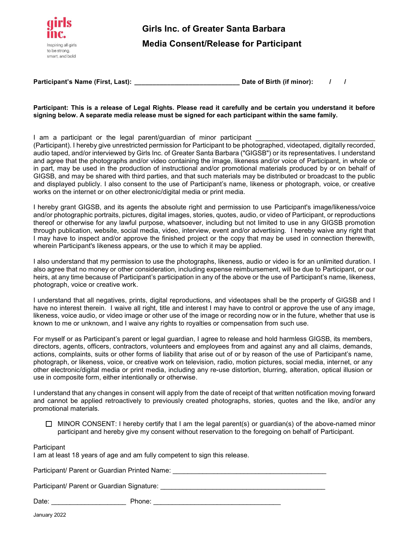

**Participant's Name (First, Last): \_\_\_\_\_\_\_\_\_\_\_\_\_\_\_\_\_\_\_\_\_\_\_\_\_\_\_\_\_ Date of Birth (if minor): / /** 

#### **Participant: This is a release of Legal Rights. Please read it carefully and be certain you understand it before signing below. A separate media release must be signed for each participant within the same family.**

I am a participant or the legal parent/guardian of minor participant

(Participant). I hereby give unrestricted permission for Participant to be photographed, videotaped, digitally recorded, audio taped, and/or interviewed by Girls Inc. of Greater Santa Barbara ("GIGSB") or its representatives. I understand and agree that the photographs and/or video containing the image, likeness and/or voice of Participant, in whole or in part, may be used in the production of instructional and/or promotional materials produced by or on behalf of GIGSB, and may be shared with third parties, and that such materials may be distributed or broadcast to the public and displayed publicly. I also consent to the use of Participant's name, likeness or photograph, voice, or creative works on the internet or on other electronic/digital media or print media.

I hereby grant GIGSB, and its agents the absolute right and permission to use Participant's image/likeness/voice and/or photographic portraits, pictures, digital images, stories, quotes, audio, or video of Participant, or reproductions thereof or otherwise for any lawful purpose, whatsoever, including but not limited to use in any GIGSB promotion through publication, website, social media, video, interview, event and/or advertising. I hereby waive any right that I may have to inspect and/or approve the finished project or the copy that may be used in connection therewith, wherein Participant's likeness appears, or the use to which it may be applied.

I also understand that my permission to use the photographs, likeness, audio or video is for an unlimited duration. I also agree that no money or other consideration, including expense reimbursement, will be due to Participant, or our heirs, at any time because of Participant's participation in any of the above or the use of Participant's name, likeness, photograph, voice or creative work.

I understand that all negatives, prints, digital reproductions, and videotapes shall be the property of GIGSB and I have no interest therein. I waive all right, title and interest I may have to control or approve the use of any image, likeness, voice audio, or video image or other use of the image or recording now or in the future, whether that use is known to me or unknown, and I waive any rights to royalties or compensation from such use.

For myself or as Participant's parent or legal guardian, I agree to release and hold harmless GIGSB, its members, directors, agents, officers, contractors, volunteers and employees from and against any and all claims, demands, actions, complaints, suits or other forms of liability that arise out of or by reason of the use of Participant's name, photograph, or likeness, voice, or creative work on television, radio, motion pictures, social media, internet, or any other electronic/digital media or print media, including any re-use distortion, blurring, alteration, optical illusion or use in composite form, either intentionally or otherwise.

I understand that any changes in consent will apply from the date of receipt of that written notification moving forward and cannot be applied retroactively to previously created photographs, stories, quotes and the like, and/or any promotional materials.

 $\Box$  MINOR CONSENT: I hereby certify that I am the legal parent(s) or guardian(s) of the above-named minor participant and hereby give my consent without reservation to the foregoing on behalf of Participant.

#### Participant

I am at least 18 years of age and am fully competent to sign this release.

| Participant/ Parent or Guardian Printed Name: |  |
|-----------------------------------------------|--|
|                                               |  |

Participant/ Parent or Guardian Signature:  $\blacksquare$ 

| Date: | 'hone: |  |
|-------|--------|--|
|       |        |  |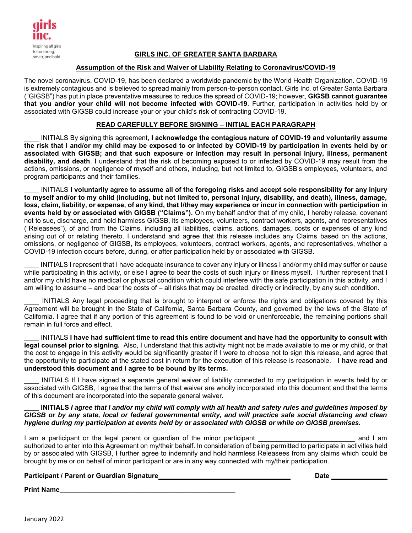

### **GIRLS INC. OF GREATER SANTA BARBARA**

#### **Assumption of the Risk and Waiver of Liability Relating to Coronavirus/COVID-19**

The novel coronavirus, COVID-19, has been declared a worldwide pandemic by the World Health Organization. COVID-19 is extremely contagious and is believed to spread mainly from person-to-person contact. Girls Inc. of Greater Santa Barbara ("GIGSB") has put in place preventative measures to reduce the spread of COVID-19; however, **GIGSB cannot guarantee that you and/or your child will not become infected with COVID-19**. Further, participation in activities held by or associated with GIGSB could increase your or your child's risk of contracting COVID-19.

#### **READ CAREFULLY BEFORE SIGNING – INITIAL EACH PARAGRAPH**

\_\_\_\_ INITIALS By signing this agreement, **I acknowledge the contagious nature of COVID-19 and voluntarily assume the risk that I and/or my child may be exposed to or infected by COVID-19 by participation in events held by or associated with GIGSB; and that such exposure or infection may result in personal injury, illness, permanent disability, and death**. I understand that the risk of becoming exposed to or infected by COVID-19 may result from the actions, omissions, or negligence of myself and others, including, but not limited to, GIGSB's employees, volunteers, and program participants and their families.

\_\_\_\_ INITIALS **I voluntarily agree to assume all of the foregoing risks and accept sole responsibility for any injury to myself and/or to my child (including, but not limited to, personal injury, disability, and death), illness, damage, loss, claim, liability, or expense, of any kind, that I/they may experience or incur in connection with participation in events held by or associated with GIGSB ("Claims").** On my behalf and/or that of my child, I hereby release, covenant not to sue, discharge, and hold harmless GIGSB, its employees, volunteers, contract workers, agents, and representatives ("Releasees"), of and from the Claims, including all liabilities, claims, actions, damages, costs or expenses of any kind arising out of or relating thereto. I understand and agree that this release includes any Claims based on the actions, omissions, or negligence of GIGSB, its employees, volunteers, contract workers, agents, and representatives, whether a COVID-19 infection occurs before, during, or after participation held by or associated with GIGSB.

INITIALS I represent that I have adequate insurance to cover any injury or illness I and/or my child may suffer or cause while participating in this activity, or else I agree to bear the costs of such injury or illness myself. I further represent that I and/or my child have no medical or physical condition which could interfere with the safe participation in this activity, and I am willing to assume – and bear the costs of – all risks that may be created, directly or indirectly, by any such condition.

INITIALS Any legal proceeding that is brought to interpret or enforce the rights and obligations covered by this Agreement will be brought in the State of California, Santa Barbara County, and governed by the laws of the State of California. I agree that if any portion of this agreement is found to be void or unenforceable, the remaining portions shall remain in full force and effect.

\_\_\_\_ INITIALS **I have had sufficient time to read this entire document and have had the opportunity to consult with legal counsel prior to signing.** Also, I understand that this activity might not be made available to me or my child, or that the cost to engage in this activity would be significantly greater if I were to choose not to sign this release, and agree that the opportunity to participate at the stated cost in return for the execution of this release is reasonable. **I have read and understood this document and I agree to be bound by its terms.** 

INITIALS If I have signed a separate general waiver of liability connected to my participation in events held by or associated with GIGSB, I agree that the terms of that waiver are wholly incorporated into this document and that the terms of this document are incorporated into the separate general waiver.

#### **\_\_\_\_ INITIALS** *I agree that I and/or my child will comply with all health and safety rules and guidelines imposed by GIGSB or by any state, local or federal governmental entity, and will practice safe social distancing and clean hygiene during my participation at events held by or associated with GIGSB or while on GIGSB premises.*

I am a participant or the legal parent or guardian of the minor participant the state of the minor participant authorized to enter into this Agreement on my/their behalf. In consideration of being permitted to participate in activities held by or associated with GIGSB, I further agree to indemnify and hold harmless Releasees from any claims which could be brought by me or on behalf of minor participant or are in any way connected with my/their participation.

#### **Participant / Parent or Guardian Signature Date**

**Print Name\_\_\_\_\_\_\_\_\_\_\_\_\_\_\_\_\_\_\_\_\_\_\_\_\_\_\_\_\_\_\_\_\_\_\_\_\_\_\_\_\_\_\_\_\_\_\_**